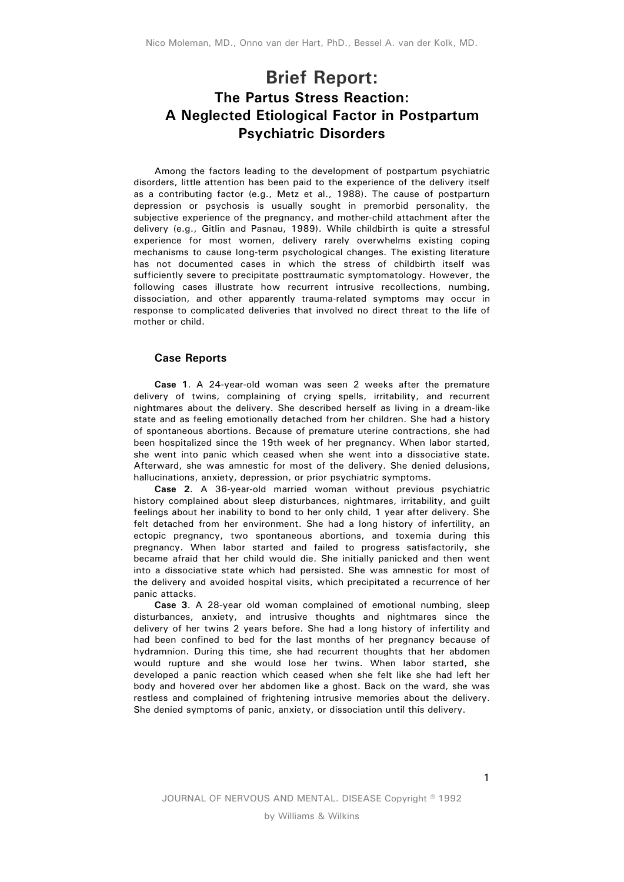## **Brief Report: The Partus Stress Reaction: A Neglected Etiological Factor in Postpartum Psychiatric Disorders**

Among the factors leading to the development of postpartum psychiatric disorders, little attention has been paid to the experience of the delivery itself as a contributing factor (e.g., Metz et al., 1988). The cause of postparturn depression or psychosis is usually sought in premorbid personality, the subjective experience of the pregnancy, and mother-child attachment after the delivery (e.g., Gitlin and Pasnau, 1989). While childbirth is quite a stressful experience for most women, delivery rarely overwhelms existing coping mechanisms to cause long-term psychological changes. The existing literature has not documented cases in which the stress of childbirth itself was sufficiently severe to precipitate posttraumatic symptomatology. However, the following cases illustrate how recurrent intrusive recollections, numbing, dissociation, and other apparently trauma-related symptoms may occur in response to complicated deliveries that involved no direct threat to the life of mother or child.

## **Case Reports**

**Case 1**. A 24-year-old woman was seen 2 weeks after the premature delivery of twins, complaining of crying spells, irritability, and recurrent nightmares about the delivery. She described herself as living in a dream-like state and as feeling emotionally detached from her children. She had a history of spontaneous abortions. Because of premature uterine contractions, she had been hospitalized since the 19th week of her pregnancy. When labor started, she went into panic which ceased when she went into a dissociative state. Afterward, she was amnestic for most of the delivery. She denied delusions, hallucinations, anxiety, depression, or prior psychiatric symptoms.

**Case 2**. A 36-year-old married woman without previous psychiatric history complained about sleep disturbances, nightmares, irritability, and guilt feelings about her inability to bond to her only child, 1 year after delivery. She felt detached from her environment. She had a long history of infertility, an ectopic pregnancy, two spontaneous abortions, and toxemia during this pregnancy. When labor started and failed to progress satisfactorily, she became afraid that her child would die. She initially panicked and then went into a dissociative state which had persisted. She was amnestic for most of the delivery and avoided hospital visits, which precipitated a recurrence of her panic attacks.

**Case 3**. A 28-year old woman complained of emotional numbing, sleep disturbances, anxiety, and intrusive thoughts and nightmares since the delivery of her twins 2 years before. She had a long history of infertility and had been confined to bed for the last months of her pregnancy because of hydramnion. During this time, she had recurrent thoughts that her abdomen would rupture and she would lose her twins. When labor started, she developed a panic reaction which ceased when she felt like she had left her body and hovered over her abdomen like a ghost. Back on the ward, she was restless and complained of frightening intrusive memories about the delivery. She denied symptoms of panic, anxiety, or dissociation until this delivery.